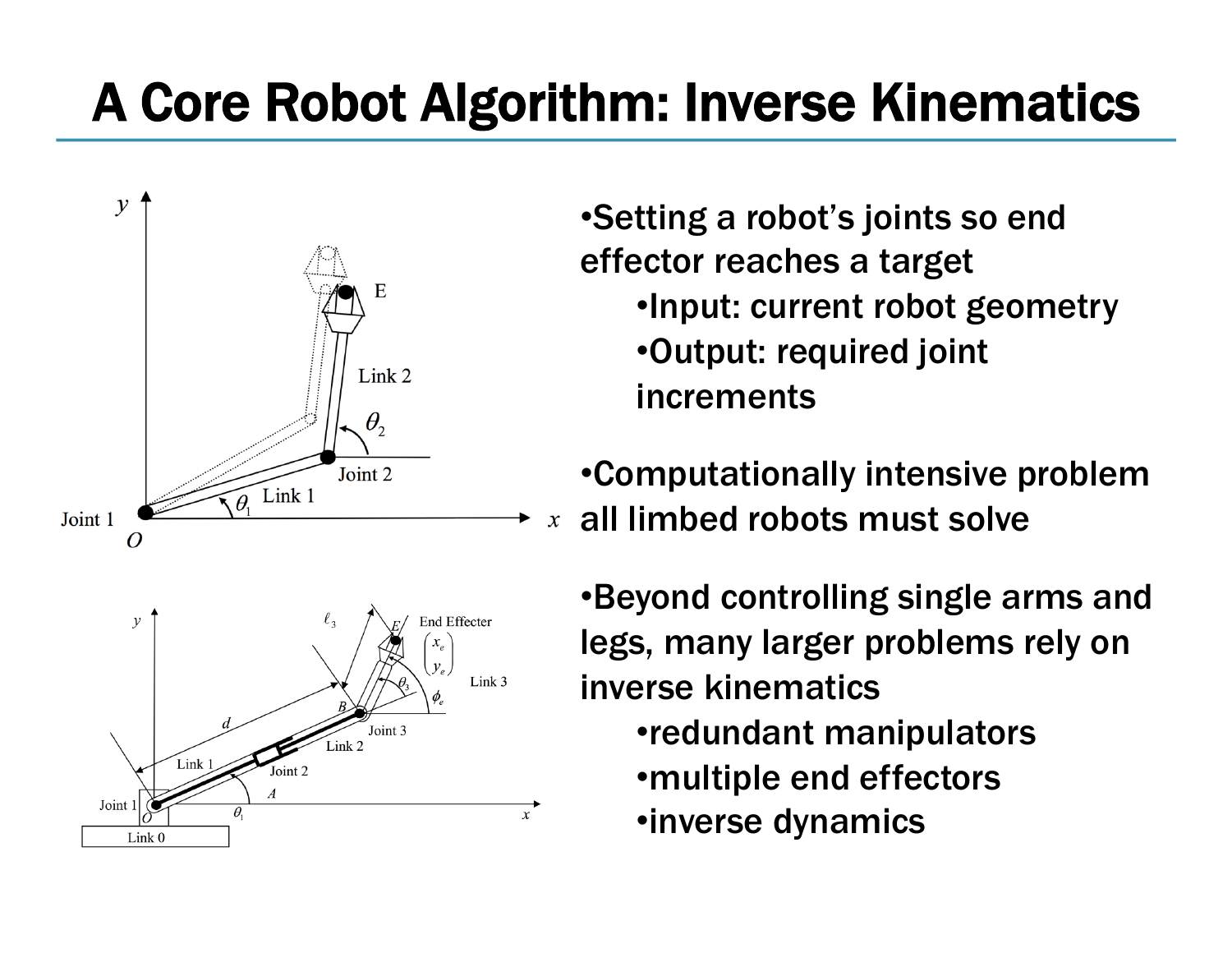# A Core Robot Algorithm: Inverse Kinematics



•Setting a robot's joints so end effector reaches a target •Input: current robot geometry •Output: required joint increments

•Computationally intensive problem all limbed robots must solve  $\mathfrak{X}$ 

•Beyond controlling single arms and legs, many larger problems rely on inverse kinematics •redundant manipulators •multiple end effectors •inverse dynamics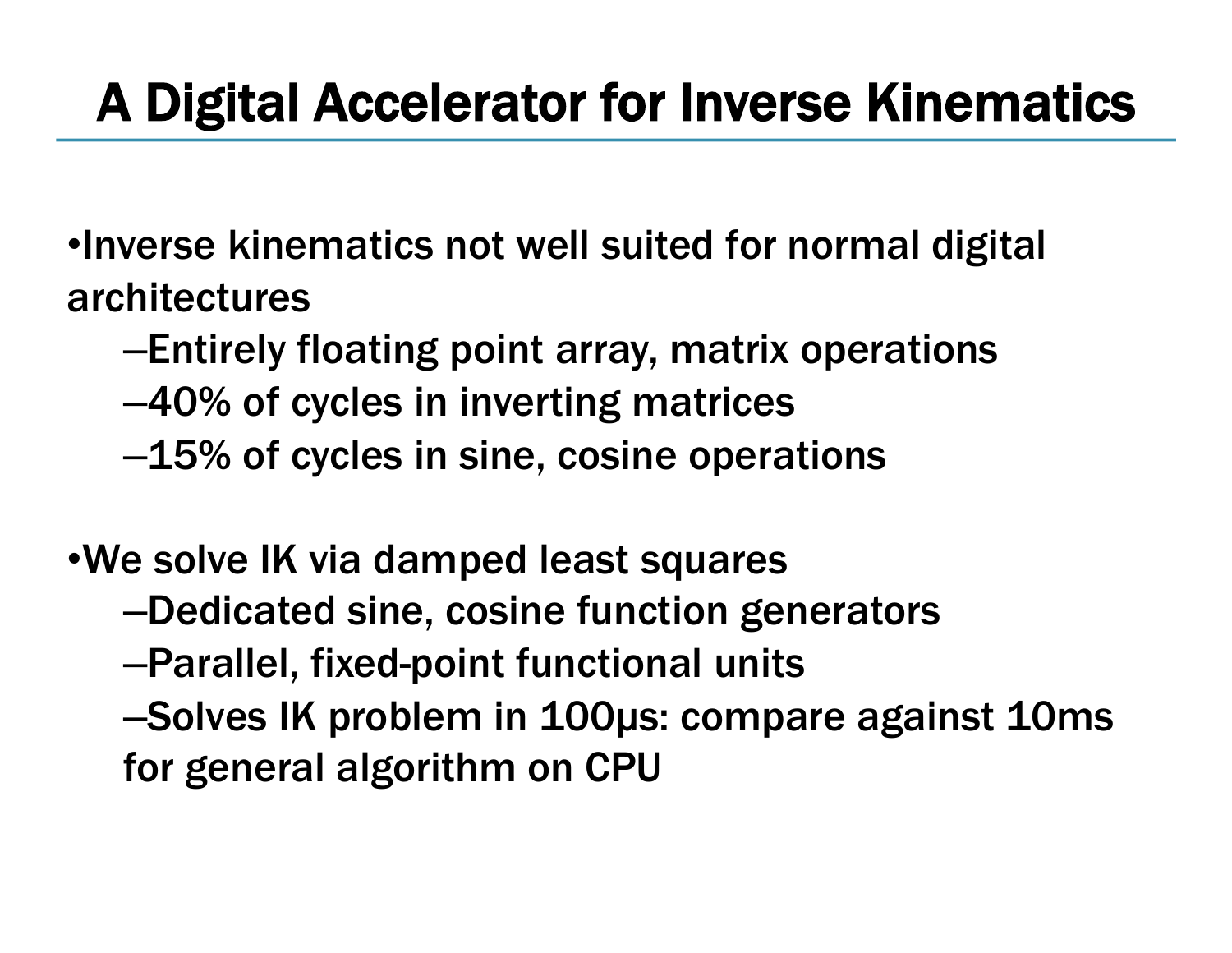# A Digital Accelerator for Inverse Kinematics

•Inverse kinematics not well suited for normal digital architectures

- –Entirely floating point array, matrix operations
- –40% of cycles in inverting matrices
- –15% of cycles in sine, cosine operations

•We solve IK via damped least squares –Dedicated sine, cosine function generators –Parallel, fixed-point functional units –Solves IK problem in 100µs: compare against 10ms for general algorithm on CPU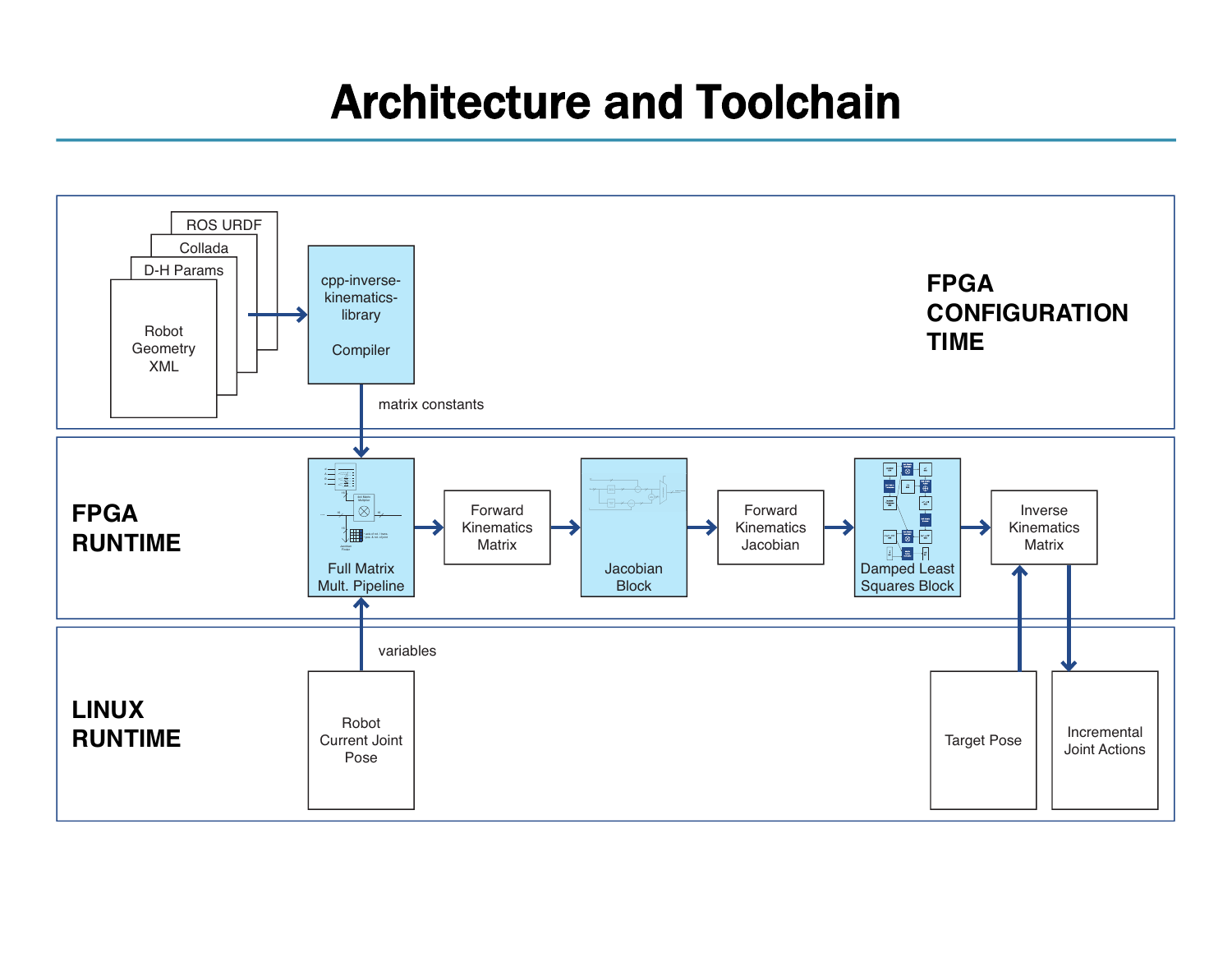#### Architecture and Toolchain

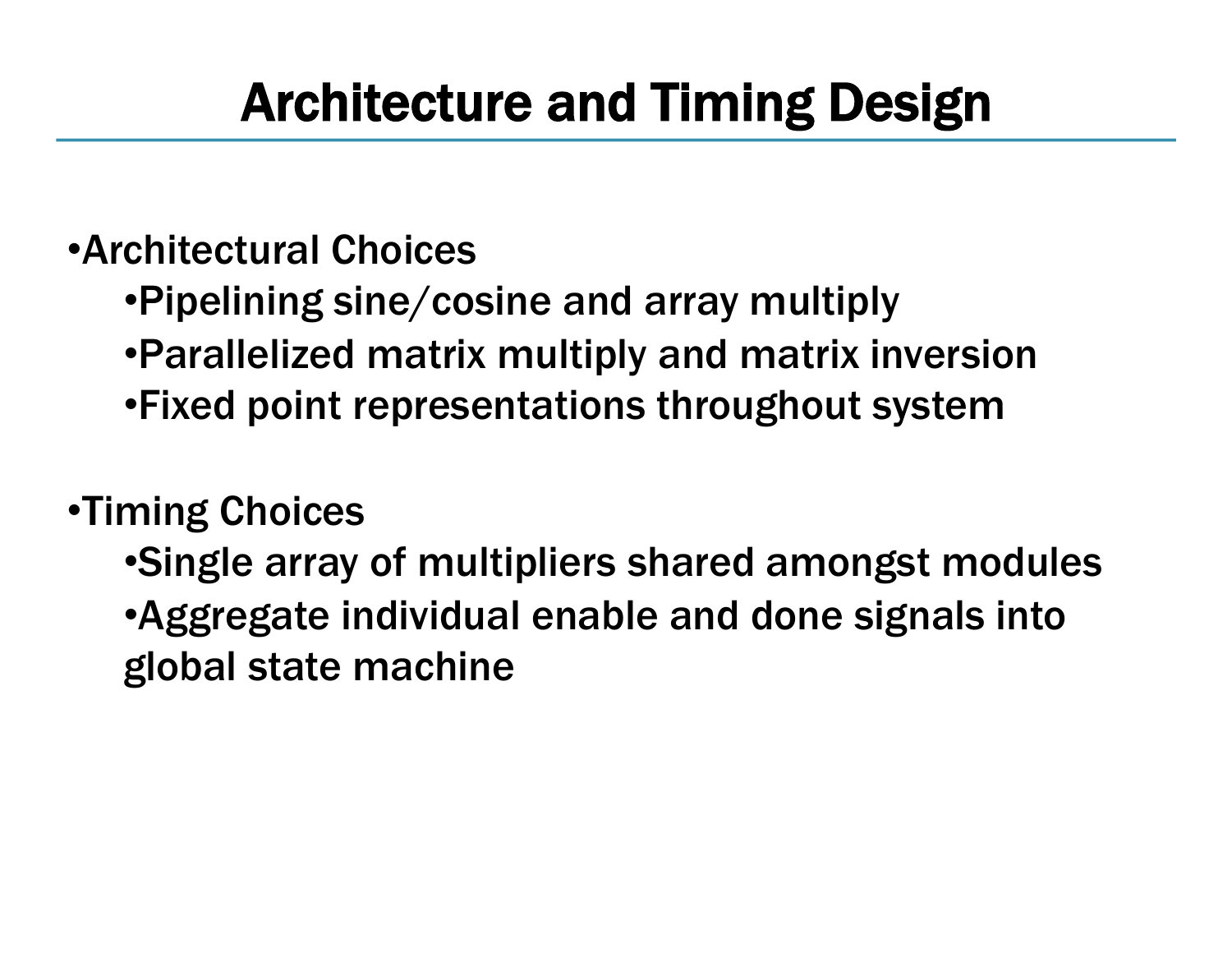### Architecture and Timing Design

#### •Architectural Choices

- •Pipelining sine/cosine and array multiply
- •Parallelized matrix multiply and matrix inversion
- •Fixed point representations throughout system

#### •Timing Choices

•Single array of multipliers shared amongst modules •Aggregate individual enable and done signals into global state machine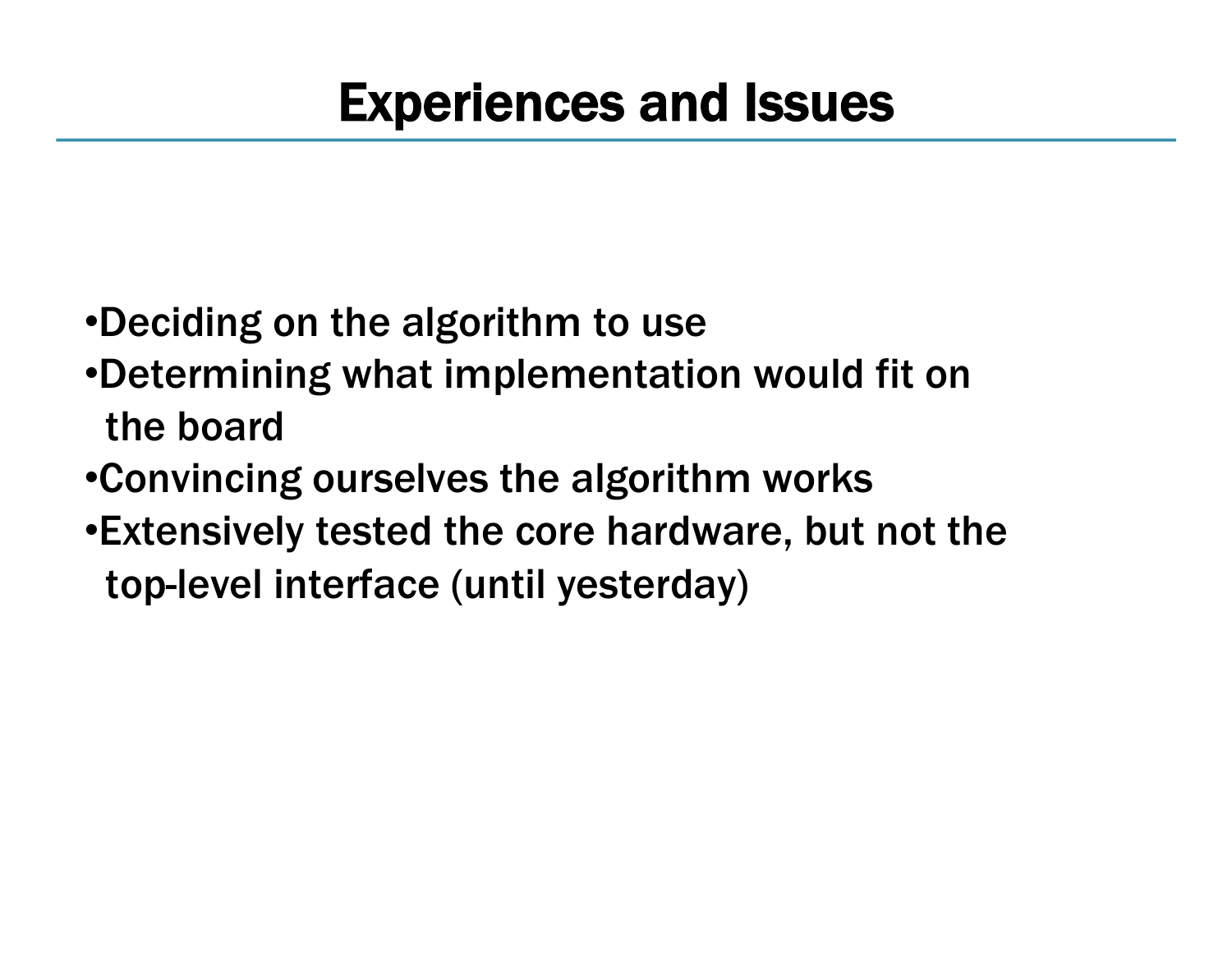- •Deciding on the algorithm to use
- •Determining what implementation would fit on the board
- •Convincing ourselves the algorithm works
- •Extensively tested the core hardware, but not the top-level interface (until yesterday)